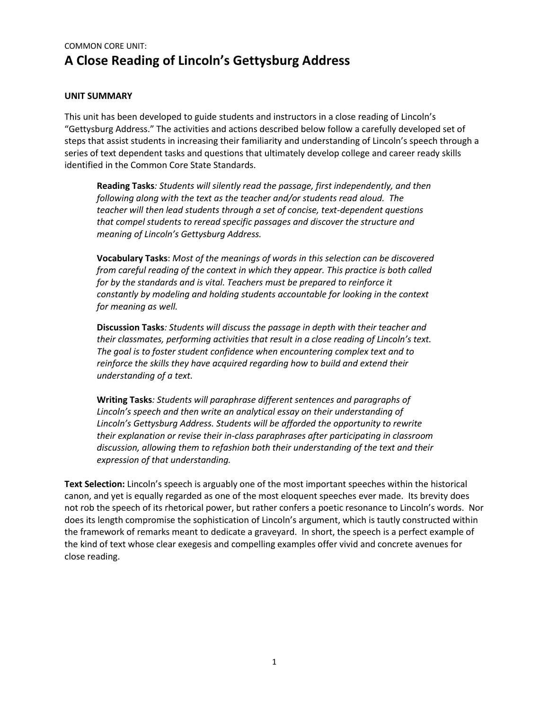## COMMON CORE UNIT: **A Close Reading of Lincoln's Gettysburg Address**

#### **UNIT SUMMARY**

This unit has been developed to guide students and instructors in a close reading of Lincoln's "Gettysburg Address." The activities and actions described below follow a carefully developed set of steps that assist students in increasing their familiarity and understanding of Lincoln's speech through a series of text dependent tasks and questions that ultimately develop college and career ready skills identified in the Common Core State Standards.

**Reading Tasks***: Students will silently read the passage, first independently, and then following along with the text as the teacher and/or students read aloud. The teacher will then lead students through a set of concise, text-dependent questions that compel students to reread specific passages and discover the structure and meaning of Lincoln's Gettysburg Address.* 

**Vocabulary Tasks**: *Most of the meanings of words in this selection can be discovered from careful reading of the context in which they appear. This practice is both called for by the standards and is vital. Teachers must be prepared to reinforce it constantly by modeling and holding students accountable for looking in the context for meaning as well.*

**Discussion Tasks***: Students will discuss the passage in depth with their teacher and their classmates, performing activities that result in a close reading of Lincoln's text. The goal is to foster student confidence when encountering complex text and to reinforce the skills they have acquired regarding how to build and extend their understanding of a text.* 

**Writing Tasks***: Students will paraphrase different sentences and paragraphs of Lincoln's speech and then write an analytical essay on their understanding of Lincoln's Gettysburg Address. Students will be afforded the opportunity to rewrite their explanation or revise their in-class paraphrases after participating in classroom discussion, allowing them to refashion both their understanding of the text and their expression of that understanding.*

**Text Selection:** Lincoln's speech is arguably one of the most important speeches within the historical canon, and yet is equally regarded as one of the most eloquent speeches ever made. Its brevity does not rob the speech of its rhetorical power, but rather confers a poetic resonance to Lincoln's words. Nor does its length compromise the sophistication of Lincoln's argument, which is tautly constructed within the framework of remarks meant to dedicate a graveyard. In short, the speech is a perfect example of the kind of text whose clear exegesis and compelling examples offer vivid and concrete avenues for close reading.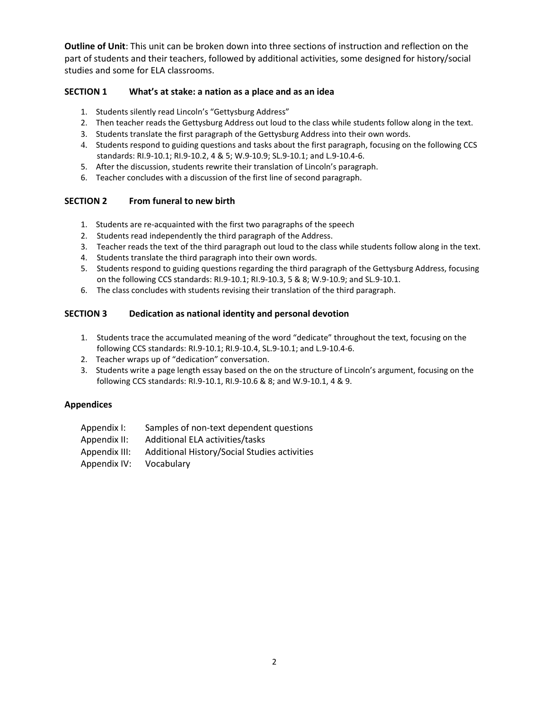**Outline of Unit**: This unit can be broken down into three sections of instruction and reflection on the part of students and their teachers, followed by additional activities, some designed for history/social studies and some for ELA classrooms.

#### **SECTION 1 What's at stake: a nation as a place and as an idea**

- 1. Students silently read Lincoln's "Gettysburg Address"
- 2. Then teacher reads the Gettysburg Address out loud to the class while students follow along in the text.
- 3. Students translate the first paragraph of the Gettysburg Address into their own words.
- 4. Students respond to guiding questions and tasks about the first paragraph, focusing on the following CCS standards: RI.9-10.1; RI.9-10.2, 4 & 5; W.9-10.9; SL.9-10.1; and L.9-10.4-6.
- 5. After the discussion, students rewrite their translation of Lincoln's paragraph.
- 6. Teacher concludes with a discussion of the first line of second paragraph.

### **SECTION 2 From funeral to new birth**

- 1. Students are re-acquainted with the first two paragraphs of the speech
- 2. Students read independently the third paragraph of the Address.
- 3. Teacher reads the text of the third paragraph out loud to the class while students follow along in the text.
- 4. Students translate the third paragraph into their own words.
- 5. Students respond to guiding questions regarding the third paragraph of the Gettysburg Address, focusing on the following CCS standards: RI.9-10.1; RI.9-10.3, 5 & 8; W.9-10.9; and SL.9-10.1.
- 6. The class concludes with students revising their translation of the third paragraph.

#### **SECTION 3 Dedication as national identity and personal devotion**

- 1. Students trace the accumulated meaning of the word "dedicate" throughout the text, focusing on the following CCS standards: RI.9-10.1; RI.9-10.4, SL.9-10.1; and L.9-10.4-6.
- 2. Teacher wraps up of "dedication" conversation.
- 3. Students write a page length essay based on the on the structure of Lincoln's argument, focusing on the following CCS standards: RI.9-10.1, RI.9-10.6 & 8; and W.9-10.1, 4 & 9.

#### **Appendices**

- Appendix I: Samples of non-text dependent questions
- Appendix II: Additional ELA activities/tasks
- Appendix III: Additional History/Social Studies activities
- Appendix IV: Vocabulary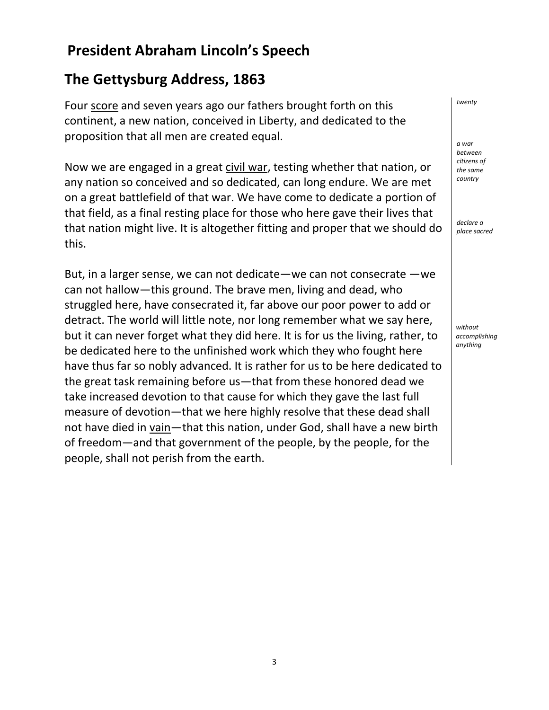## **President Abraham Lincoln's Speech**

# **The Gettysburg Address, 1863**

Four score and seven years ago our fathers brought forth on this continent, a new nation, conceived in Liberty, and dedicated to the proposition that all men are created equal.

Now we are engaged in a great civil war, testing whether that nation, or any nation so conceived and so dedicated, can long endure. We are met on a great battlefield of that war. We have come to dedicate a portion of that field, as a final resting place for those who here gave their lives that that nation might live. It is altogether fitting and proper that we should do this.

But, in a larger sense, we can not dedicate—we can not consecrate —we can not hallow—this ground. The brave men, living and dead, who struggled here, have consecrated it, far above our poor power to add or detract. The world will little note, nor long remember what we say here, but it can never forget what they did here. It is for us the living, rather, to be dedicated here to the unfinished work which they who fought here have thus far so nobly advanced. It is rather for us to be here dedicated to the great task remaining before us—that from these honored dead we take increased devotion to that cause for which they gave the last full measure of devotion—that we here highly resolve that these dead shall not have died in vain—that this nation, under God, shall have a new birth of freedom—and that government of the people, by the people, for the people, shall not perish from the earth.

*twenty*

*a war between citizens of the same country*

*declare a place sacred*

*without accomplishing anything*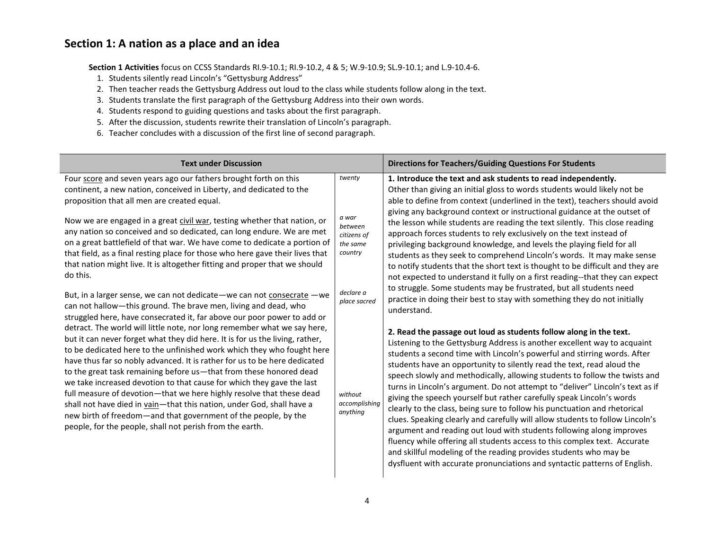### **Section 1: A nation as a place and an idea**

**Section 1 Activities** focus on CCSS Standards RI.9-10.1; RI.9-10.2, 4 & 5; W.9-10.9; SL.9-10.1; and L.9-10.4-6.

- 1. Students silently read Lincoln's "Gettysburg Address"
- 2. Then teacher reads the Gettysburg Address out loud to the class while students follow along in the text.
- 3. Students translate the first paragraph of the Gettysburg Address into their own words.
- 4. Students respond to guiding questions and tasks about the first paragraph.
- 5. After the discussion, students rewrite their translation of Lincoln's paragraph.
- 6. Teacher concludes with a discussion of the first line of second paragraph.

| <b>Text under Discussion</b>                                                                                                                                                                                                                                                                                                                                                                                                                                                                                                                                                                                                                                                                                                                                                                                             | <b>Directions for Teachers/Guiding Questions For Students</b>                                 |                                                                                                                                                                                                                                                                                                                                                                                                                                                                                                                                                                                                                                                                                                                                                                                                                                                                                                                                                                                                                   |
|--------------------------------------------------------------------------------------------------------------------------------------------------------------------------------------------------------------------------------------------------------------------------------------------------------------------------------------------------------------------------------------------------------------------------------------------------------------------------------------------------------------------------------------------------------------------------------------------------------------------------------------------------------------------------------------------------------------------------------------------------------------------------------------------------------------------------|-----------------------------------------------------------------------------------------------|-------------------------------------------------------------------------------------------------------------------------------------------------------------------------------------------------------------------------------------------------------------------------------------------------------------------------------------------------------------------------------------------------------------------------------------------------------------------------------------------------------------------------------------------------------------------------------------------------------------------------------------------------------------------------------------------------------------------------------------------------------------------------------------------------------------------------------------------------------------------------------------------------------------------------------------------------------------------------------------------------------------------|
| Four score and seven years ago our fathers brought forth on this<br>continent, a new nation, conceived in Liberty, and dedicated to the<br>proposition that all men are created equal.<br>Now we are engaged in a great civil war, testing whether that nation, or<br>any nation so conceived and so dedicated, can long endure. We are met<br>on a great battlefield of that war. We have come to dedicate a portion of<br>that field, as a final resting place for those who here gave their lives that<br>that nation might live. It is altogether fitting and proper that we should<br>do this.<br>But, in a larger sense, we can not dedicate-we can not consecrate -we<br>can not hallow-this ground. The brave men, living and dead, who                                                                          | twenty<br>a war<br>between<br>citizens of<br>the same<br>country<br>declare a<br>place sacred | 1. Introduce the text and ask students to read independently.<br>Other than giving an initial gloss to words students would likely not be<br>able to define from context (underlined in the text), teachers should avoid<br>giving any background context or instructional guidance at the outset of<br>the lesson while students are reading the text silently. This close reading<br>approach forces students to rely exclusively on the text instead of<br>privileging background knowledge, and levels the playing field for all<br>students as they seek to comprehend Lincoln's words. It may make sense<br>to notify students that the short text is thought to be difficult and they are<br>not expected to understand it fully on a first reading--that they can expect<br>to struggle. Some students may be frustrated, but all students need<br>practice in doing their best to stay with something they do not initially<br>understand.                                                               |
| struggled here, have consecrated it, far above our poor power to add or<br>detract. The world will little note, nor long remember what we say here,<br>but it can never forget what they did here. It is for us the living, rather,<br>to be dedicated here to the unfinished work which they who fought here<br>have thus far so nobly advanced. It is rather for us to be here dedicated<br>to the great task remaining before us-that from these honored dead<br>we take increased devotion to that cause for which they gave the last<br>full measure of devotion-that we here highly resolve that these dead<br>shall not have died in vain-that this nation, under God, shall have a<br>new birth of freedom-and that government of the people, by the<br>people, for the people, shall not perish from the earth. | without<br>accomplishing<br>anything                                                          | 2. Read the passage out loud as students follow along in the text.<br>Listening to the Gettysburg Address is another excellent way to acquaint<br>students a second time with Lincoln's powerful and stirring words. After<br>students have an opportunity to silently read the text, read aloud the<br>speech slowly and methodically, allowing students to follow the twists and<br>turns in Lincoln's argument. Do not attempt to "deliver" Lincoln's text as if<br>giving the speech yourself but rather carefully speak Lincoln's words<br>clearly to the class, being sure to follow his punctuation and rhetorical<br>clues. Speaking clearly and carefully will allow students to follow Lincoln's<br>argument and reading out loud with students following along improves<br>fluency while offering all students access to this complex text. Accurate<br>and skillful modeling of the reading provides students who may be<br>dysfluent with accurate pronunciations and syntactic patterns of English. |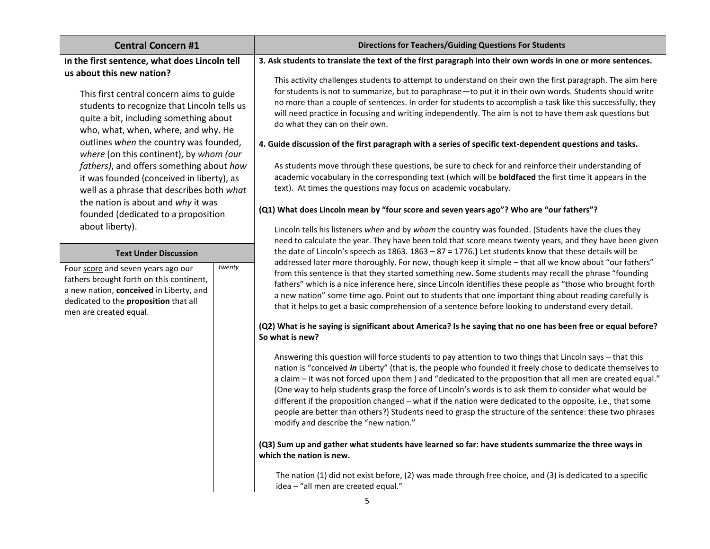| <b>Central Concern #1</b>                                                                                                                                                                                                                                                                                                                                                                                                                                                                                                                                                         | <b>Directions for Teachers/Guiding Questions For Students</b>                                                                                                                                                                                                                                                                                                                                                                                                                                                                                                                                                                                                                                                                                                                                                                                                                                                                                                                                                                                                                                                                                                                                                                                                                                                        |  |
|-----------------------------------------------------------------------------------------------------------------------------------------------------------------------------------------------------------------------------------------------------------------------------------------------------------------------------------------------------------------------------------------------------------------------------------------------------------------------------------------------------------------------------------------------------------------------------------|----------------------------------------------------------------------------------------------------------------------------------------------------------------------------------------------------------------------------------------------------------------------------------------------------------------------------------------------------------------------------------------------------------------------------------------------------------------------------------------------------------------------------------------------------------------------------------------------------------------------------------------------------------------------------------------------------------------------------------------------------------------------------------------------------------------------------------------------------------------------------------------------------------------------------------------------------------------------------------------------------------------------------------------------------------------------------------------------------------------------------------------------------------------------------------------------------------------------------------------------------------------------------------------------------------------------|--|
| In the first sentence, what does Lincoln tell<br>us about this new nation?<br>This first central concern aims to guide<br>students to recognize that Lincoln tells us<br>quite a bit, including something about<br>who, what, when, where, and why. He<br>outlines when the country was founded,<br>where (on this continent), by whom (our<br>fathers), and offers something about how<br>it was founded (conceived in liberty), as<br>well as a phrase that describes both what<br>the nation is about and why it was<br>founded (dedicated to a proposition<br>about liberty). | 3. Ask students to translate the text of the first paragraph into their own words in one or more sentences.<br>This activity challenges students to attempt to understand on their own the first paragraph. The aim here<br>for students is not to summarize, but to paraphrase-to put it in their own words. Students should write<br>no more than a couple of sentences. In order for students to accomplish a task like this successfully, they<br>will need practice in focusing and writing independently. The aim is not to have them ask questions but<br>do what they can on their own.<br>4. Guide discussion of the first paragraph with a series of specific text-dependent questions and tasks.<br>As students move through these questions, be sure to check for and reinforce their understanding of<br>academic vocabulary in the corresponding text (which will be <b>boldfaced</b> the first time it appears in the<br>text). At times the questions may focus on academic vocabulary.<br>(Q1) What does Lincoln mean by "four score and seven years ago"? Who are "our fathers"?<br>Lincoln tells his listeners when and by whom the country was founded. (Students have the clues they<br>need to calculate the year. They have been told that score means twenty years, and they have been given |  |
| <b>Text Under Discussion</b>                                                                                                                                                                                                                                                                                                                                                                                                                                                                                                                                                      | the date of Lincoln's speech as 1863. 1863 - 87 = 1776.) Let students know that these details will be                                                                                                                                                                                                                                                                                                                                                                                                                                                                                                                                                                                                                                                                                                                                                                                                                                                                                                                                                                                                                                                                                                                                                                                                                |  |
| Four score and seven years ago our<br>fathers brought forth on this continent,<br>a new nation, conceived in Liberty, and<br>dedicated to the proposition that all<br>men are created equal.                                                                                                                                                                                                                                                                                                                                                                                      | addressed later more thoroughly. For now, though keep it simple - that all we know about "our fathers"<br>twenty<br>from this sentence is that they started something new. Some students may recall the phrase "founding<br>fathers" which is a nice inference here, since Lincoln identifies these people as "those who brought forth<br>a new nation" some time ago. Point out to students that one important thing about reading carefully is<br>that it helps to get a basic comprehension of a sentence before looking to understand every detail.<br>(Q2) What is he saying is significant about America? Is he saying that no one has been free or equal before?<br>So what is new?                                                                                                                                                                                                                                                                                                                                                                                                                                                                                                                                                                                                                           |  |
|                                                                                                                                                                                                                                                                                                                                                                                                                                                                                                                                                                                   | Answering this question will force students to pay attention to two things that Lincoln says - that this<br>nation is "conceived in Liberty" (that is, the people who founded it freely chose to dedicate themselves to<br>a claim – it was not forced upon them ) and "dedicated to the proposition that all men are created equal."<br>(One way to help students grasp the force of Lincoln's words is to ask them to consider what would be<br>different if the proposition changed - what if the nation were dedicated to the opposite, i.e., that some<br>people are better than others?) Students need to grasp the structure of the sentence: these two phrases<br>modify and describe the "new nation."                                                                                                                                                                                                                                                                                                                                                                                                                                                                                                                                                                                                      |  |
|                                                                                                                                                                                                                                                                                                                                                                                                                                                                                                                                                                                   | (Q3) Sum up and gather what students have learned so far: have students summarize the three ways in<br>which the nation is new.                                                                                                                                                                                                                                                                                                                                                                                                                                                                                                                                                                                                                                                                                                                                                                                                                                                                                                                                                                                                                                                                                                                                                                                      |  |
|                                                                                                                                                                                                                                                                                                                                                                                                                                                                                                                                                                                   | The nation (1) did not exist before, (2) was made through free choice, and (3) is dedicated to a specific<br>idea - "all men are created equal."                                                                                                                                                                                                                                                                                                                                                                                                                                                                                                                                                                                                                                                                                                                                                                                                                                                                                                                                                                                                                                                                                                                                                                     |  |
|                                                                                                                                                                                                                                                                                                                                                                                                                                                                                                                                                                                   | 5                                                                                                                                                                                                                                                                                                                                                                                                                                                                                                                                                                                                                                                                                                                                                                                                                                                                                                                                                                                                                                                                                                                                                                                                                                                                                                                    |  |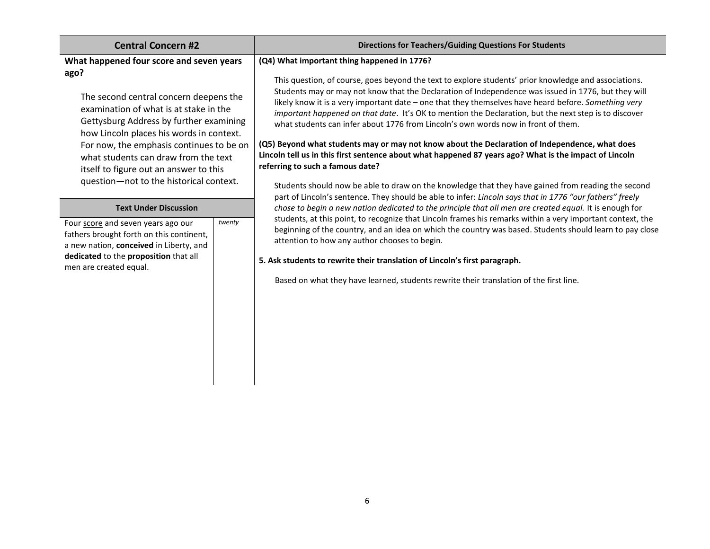| <b>Central Concern #2</b>                | <b>Directions for Teachers/Guiding Questions For Students</b>                                              |  |
|------------------------------------------|------------------------------------------------------------------------------------------------------------|--|
| What happened four score and seven years | (Q4) What important thing happened in 1776?                                                                |  |
| ago?                                     | This question, of course, goes beyond the text to explore students' prior knowledge and associations.      |  |
| The second central concern deepens the   | Students may or may not know that the Declaration of Independence was issued in 1776, but they will        |  |
| examination of what is at stake in the   | likely know it is a very important date - one that they themselves have heard before. Something very       |  |
| Gettysburg Address by further examining  | important happened on that date. It's OK to mention the Declaration, but the next step is to discover      |  |
| how Lincoln places his words in context. | what students can infer about 1776 from Lincoln's own words now in front of them.                          |  |
| For now, the emphasis continues to be on | (Q5) Beyond what students may or may not know about the Declaration of Independence, what does             |  |
| what students can draw from the text     | Lincoln tell us in this first sentence about what happened 87 years ago? What is the impact of Lincoln     |  |
| itself to figure out an answer to this   | referring to such a famous date?                                                                           |  |
| question-not to the historical context.  | Students should now be able to draw on the knowledge that they have gained from reading the second         |  |
| <b>Text Under Discussion</b>             | part of Lincoln's sentence. They should be able to infer: Lincoln says that in 1776 "our fathers" freely   |  |
| twenty                                   | chose to begin a new nation dedicated to the principle that all men are created equal. It is enough for    |  |
| Four score and seven years ago our       | students, at this point, to recognize that Lincoln frames his remarks within a very important context, the |  |
| fathers brought forth on this continent, | beginning of the country, and an idea on which the country was based. Students should learn to pay close   |  |
| a new nation, conceived in Liberty, and  | attention to how any author chooses to begin.                                                              |  |
| dedicated to the proposition that all    | 5. Ask students to rewrite their translation of Lincoln's first paragraph.                                 |  |
| men are created equal.                   | Based on what they have learned, students rewrite their translation of the first line.                     |  |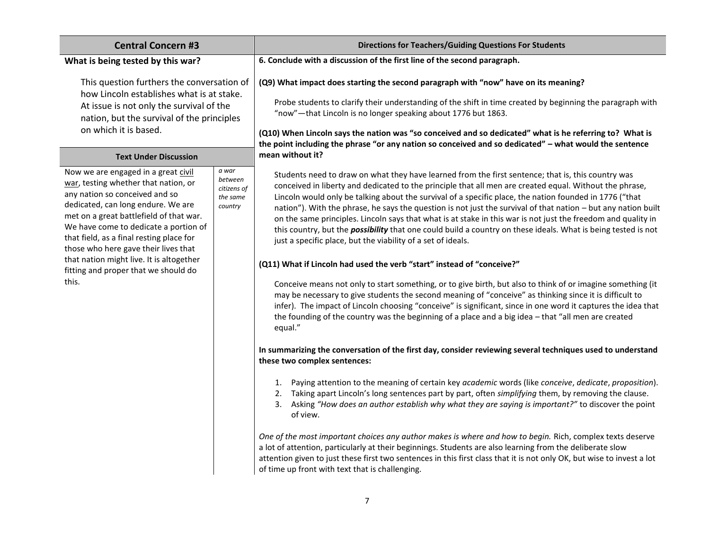| <b>Central Concern #3</b><br>What is being tested by this war?                                                                                                                                                                                                                                                                                                                                                           |                                                        | <b>Directions for Teachers/Guiding Questions For Students</b>                                                                                                                                                                                                                                                                                                                                                                                                                                                                                                                                                                                                                                                                                                                                                                                                                                                                                                                                                                                                                                                                                                                                                                                                                                                                                                                                                                                                                                                                                                                                                                                                                                                                                                                                                                                                                                                                                                                                                                                                                                                                                                                              |  |
|--------------------------------------------------------------------------------------------------------------------------------------------------------------------------------------------------------------------------------------------------------------------------------------------------------------------------------------------------------------------------------------------------------------------------|--------------------------------------------------------|--------------------------------------------------------------------------------------------------------------------------------------------------------------------------------------------------------------------------------------------------------------------------------------------------------------------------------------------------------------------------------------------------------------------------------------------------------------------------------------------------------------------------------------------------------------------------------------------------------------------------------------------------------------------------------------------------------------------------------------------------------------------------------------------------------------------------------------------------------------------------------------------------------------------------------------------------------------------------------------------------------------------------------------------------------------------------------------------------------------------------------------------------------------------------------------------------------------------------------------------------------------------------------------------------------------------------------------------------------------------------------------------------------------------------------------------------------------------------------------------------------------------------------------------------------------------------------------------------------------------------------------------------------------------------------------------------------------------------------------------------------------------------------------------------------------------------------------------------------------------------------------------------------------------------------------------------------------------------------------------------------------------------------------------------------------------------------------------------------------------------------------------------------------------------------------------|--|
|                                                                                                                                                                                                                                                                                                                                                                                                                          |                                                        | 6. Conclude with a discussion of the first line of the second paragraph.                                                                                                                                                                                                                                                                                                                                                                                                                                                                                                                                                                                                                                                                                                                                                                                                                                                                                                                                                                                                                                                                                                                                                                                                                                                                                                                                                                                                                                                                                                                                                                                                                                                                                                                                                                                                                                                                                                                                                                                                                                                                                                                   |  |
| This question furthers the conversation of<br>how Lincoln establishes what is at stake.<br>At issue is not only the survival of the<br>nation, but the survival of the principles<br>on which it is based.<br><b>Text Under Discussion</b>                                                                                                                                                                               |                                                        | (Q9) What impact does starting the second paragraph with "now" have on its meaning?<br>Probe students to clarify their understanding of the shift in time created by beginning the paragraph with<br>"now"-that Lincoln is no longer speaking about 1776 but 1863.<br>(Q10) When Lincoln says the nation was "so conceived and so dedicated" what is he referring to? What is<br>the point including the phrase "or any nation so conceived and so dedicated" - what would the sentence<br>mean without it?                                                                                                                                                                                                                                                                                                                                                                                                                                                                                                                                                                                                                                                                                                                                                                                                                                                                                                                                                                                                                                                                                                                                                                                                                                                                                                                                                                                                                                                                                                                                                                                                                                                                                |  |
| Now we are engaged in a great civil<br>war, testing whether that nation, or<br>any nation so conceived and so<br>dedicated, can long endure. We are<br>met on a great battlefield of that war.<br>We have come to dedicate a portion of<br>that field, as a final resting place for<br>those who here gave their lives that<br>that nation might live. It is altogether<br>fitting and proper that we should do<br>this. | a war<br>between<br>citizens of<br>the same<br>country | Students need to draw on what they have learned from the first sentence; that is, this country was<br>conceived in liberty and dedicated to the principle that all men are created equal. Without the phrase,<br>Lincoln would only be talking about the survival of a specific place, the nation founded in 1776 ("that<br>nation"). With the phrase, he says the question is not just the survival of that nation - but any nation built<br>on the same principles. Lincoln says that what is at stake in this war is not just the freedom and quality in<br>this country, but the <i>possibility</i> that one could build a country on these ideals. What is being tested is not<br>just a specific place, but the viability of a set of ideals.<br>(Q11) What if Lincoln had used the verb "start" instead of "conceive?"<br>Conceive means not only to start something, or to give birth, but also to think of or imagine something (it<br>may be necessary to give students the second meaning of "conceive" as thinking since it is difficult to<br>infer). The impact of Lincoln choosing "conceive" is significant, since in one word it captures the idea that<br>the founding of the country was the beginning of a place and a big idea - that "all men are created<br>equal."<br>In summarizing the conversation of the first day, consider reviewing several techniques used to understand<br>these two complex sentences:<br>1. Paying attention to the meaning of certain key academic words (like conceive, dedicate, proposition).<br>2. Taking apart Lincoln's long sentences part by part, often simplifying them, by removing the clause.<br>3. Asking "How does an author establish why what they are saying is important?" to discover the point<br>of view.<br>One of the most important choices any author makes is where and how to begin. Rich, complex texts deserve<br>a lot of attention, particularly at their beginnings. Students are also learning from the deliberate slow<br>attention given to just these first two sentences in this first class that it is not only OK, but wise to invest a lot<br>of time up front with text that is challenging. |  |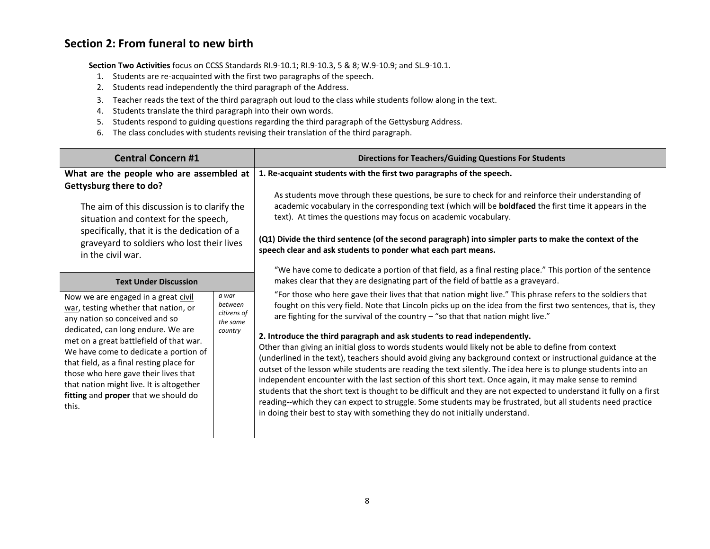## **Section 2: From funeral to new birth**

**Section Two Activities** focus on CCSS Standards RI.9-10.1; RI.9-10.3, 5 & 8; W.9-10.9; and SL.9-10.1.

- 1. Students are re-acquainted with the first two paragraphs of the speech.
- 2. Students read independently the third paragraph of the Address.
- 3. Teacher reads the text of the third paragraph out loud to the class while students follow along in the text.
- 4. Students translate the third paragraph into their own words.
- 5. Students respond to guiding questions regarding the third paragraph of the Gettysburg Address.
- 6. The class concludes with students revising their translation of the third paragraph.

| <b>Central Concern #1</b>                                                                                                                                                                                                                                                                                                                                                                                                |                                                        | <b>Directions for Teachers/Guiding Questions For Students</b>                                                                                                                                                                                                                                                                                                                                                                                                                                                                                                                                                                                                                                                                                                                                                                                                                                                                                                                                                                                                                                                                                                              |
|--------------------------------------------------------------------------------------------------------------------------------------------------------------------------------------------------------------------------------------------------------------------------------------------------------------------------------------------------------------------------------------------------------------------------|--------------------------------------------------------|----------------------------------------------------------------------------------------------------------------------------------------------------------------------------------------------------------------------------------------------------------------------------------------------------------------------------------------------------------------------------------------------------------------------------------------------------------------------------------------------------------------------------------------------------------------------------------------------------------------------------------------------------------------------------------------------------------------------------------------------------------------------------------------------------------------------------------------------------------------------------------------------------------------------------------------------------------------------------------------------------------------------------------------------------------------------------------------------------------------------------------------------------------------------------|
| What are the people who are assembled at<br>Gettysburg there to do?<br>The aim of this discussion is to clarify the<br>situation and context for the speech,<br>specifically, that it is the dedication of a<br>graveyard to soldiers who lost their lives<br>in the civil war.<br><b>Text Under Discussion</b>                                                                                                          |                                                        | 1. Re-acquaint students with the first two paragraphs of the speech.<br>As students move through these questions, be sure to check for and reinforce their understanding of<br>academic vocabulary in the corresponding text (which will be <b>boldfaced</b> the first time it appears in the<br>text). At times the questions may focus on academic vocabulary.<br>(Q1) Divide the third sentence (of the second paragraph) into simpler parts to make the context of the<br>speech clear and ask students to ponder what each part means.<br>"We have come to dedicate a portion of that field, as a final resting place." This portion of the sentence                                                                                                                                                                                                                                                                                                                                                                                                                                                                                                                  |
|                                                                                                                                                                                                                                                                                                                                                                                                                          |                                                        | makes clear that they are designating part of the field of battle as a graveyard.                                                                                                                                                                                                                                                                                                                                                                                                                                                                                                                                                                                                                                                                                                                                                                                                                                                                                                                                                                                                                                                                                          |
| Now we are engaged in a great civil<br>war, testing whether that nation, or<br>any nation so conceived and so<br>dedicated, can long endure. We are<br>met on a great battlefield of that war.<br>We have come to dedicate a portion of<br>that field, as a final resting place for<br>those who here gave their lives that<br>that nation might live. It is altogether<br>fitting and proper that we should do<br>this. | a war<br>between<br>citizens of<br>the same<br>country | "For those who here gave their lives that that nation might live." This phrase refers to the soldiers that<br>fought on this very field. Note that Lincoln picks up on the idea from the first two sentences, that is, they<br>are fighting for the survival of the country $-$ "so that that nation might live."<br>2. Introduce the third paragraph and ask students to read independently.<br>Other than giving an initial gloss to words students would likely not be able to define from context<br>(underlined in the text), teachers should avoid giving any background context or instructional guidance at the<br>outset of the lesson while students are reading the text silently. The idea here is to plunge students into an<br>independent encounter with the last section of this short text. Once again, it may make sense to remind<br>students that the short text is thought to be difficult and they are not expected to understand it fully on a first<br>reading--which they can expect to struggle. Some students may be frustrated, but all students need practice<br>in doing their best to stay with something they do not initially understand. |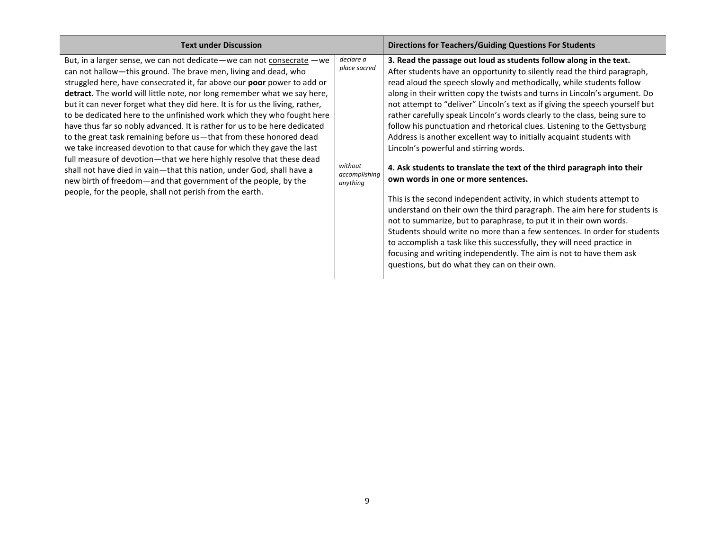| <b>Text under Discussion</b>                                                                                                                                                                                                                                                                                                                                                                                                                                                                                                                                                                                                                                                                                                                                                                                                                                                                                                                                            |                                                                   | <b>Directions for Teachers/Guiding Questions For Students</b>                                                                                                                                                                                                                                                                                                                                                                                                                                                                                                                                                                                                                                                                                                                                                                                                                                                                                                                                                                                                                                                                                                                                                                                                                                  |
|-------------------------------------------------------------------------------------------------------------------------------------------------------------------------------------------------------------------------------------------------------------------------------------------------------------------------------------------------------------------------------------------------------------------------------------------------------------------------------------------------------------------------------------------------------------------------------------------------------------------------------------------------------------------------------------------------------------------------------------------------------------------------------------------------------------------------------------------------------------------------------------------------------------------------------------------------------------------------|-------------------------------------------------------------------|------------------------------------------------------------------------------------------------------------------------------------------------------------------------------------------------------------------------------------------------------------------------------------------------------------------------------------------------------------------------------------------------------------------------------------------------------------------------------------------------------------------------------------------------------------------------------------------------------------------------------------------------------------------------------------------------------------------------------------------------------------------------------------------------------------------------------------------------------------------------------------------------------------------------------------------------------------------------------------------------------------------------------------------------------------------------------------------------------------------------------------------------------------------------------------------------------------------------------------------------------------------------------------------------|
| But, in a larger sense, we can not dedicate - we can not consecrate - we<br>can not hallow—this ground. The brave men, living and dead, who<br>struggled here, have consecrated it, far above our poor power to add or<br>detract. The world will little note, nor long remember what we say here,<br>but it can never forget what they did here. It is for us the living, rather,<br>to be dedicated here to the unfinished work which they who fought here<br>have thus far so nobly advanced. It is rather for us to be here dedicated<br>to the great task remaining before us-that from these honored dead<br>we take increased devotion to that cause for which they gave the last<br>full measure of devotion-that we here highly resolve that these dead<br>shall not have died in vain-that this nation, under God, shall have a<br>new birth of freedom-and that government of the people, by the<br>people, for the people, shall not perish from the earth. | declare a<br>place sacred<br>without<br>accomplishing<br>anything | 3. Read the passage out loud as students follow along in the text.<br>After students have an opportunity to silently read the third paragraph,<br>read aloud the speech slowly and methodically, while students follow<br>along in their written copy the twists and turns in Lincoln's argument. Do<br>not attempt to "deliver" Lincoln's text as if giving the speech yourself but<br>rather carefully speak Lincoln's words clearly to the class, being sure to<br>follow his punctuation and rhetorical clues. Listening to the Gettysburg<br>Address is another excellent way to initially acquaint students with<br>Lincoln's powerful and stirring words.<br>4. Ask students to translate the text of the third paragraph into their<br>own words in one or more sentences.<br>This is the second independent activity, in which students attempt to<br>understand on their own the third paragraph. The aim here for students is<br>not to summarize, but to paraphrase, to put it in their own words.<br>Students should write no more than a few sentences. In order for students<br>to accomplish a task like this successfully, they will need practice in<br>focusing and writing independently. The aim is not to have them ask<br>questions, but do what they can on their own. |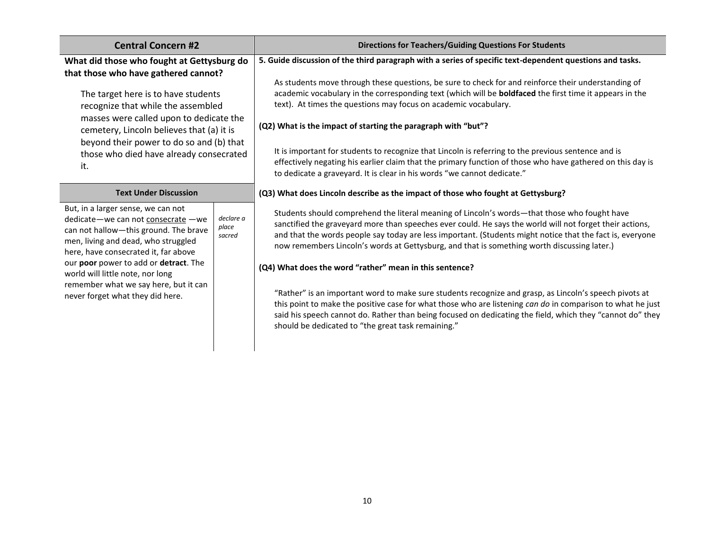| <b>Central Concern #2</b>                                                                                                                                                                                                                                                                                                                                                                  | <b>Directions for Teachers/Guiding Questions For Students</b>                                                                                                                                                                                                                                                                                                                                                                                                                                                                                                                                                                                                                                                                                                                                                                                                              |
|--------------------------------------------------------------------------------------------------------------------------------------------------------------------------------------------------------------------------------------------------------------------------------------------------------------------------------------------------------------------------------------------|----------------------------------------------------------------------------------------------------------------------------------------------------------------------------------------------------------------------------------------------------------------------------------------------------------------------------------------------------------------------------------------------------------------------------------------------------------------------------------------------------------------------------------------------------------------------------------------------------------------------------------------------------------------------------------------------------------------------------------------------------------------------------------------------------------------------------------------------------------------------------|
| What did those who fought at Gettysburg do<br>that those who have gathered cannot?<br>The target here is to have students<br>recognize that while the assembled<br>masses were called upon to dedicate the<br>cemetery, Lincoln believes that (a) it is<br>beyond their power to do so and (b) that<br>those who died have already consecrated<br>it.                                      | 5. Guide discussion of the third paragraph with a series of specific text-dependent questions and tasks.<br>As students move through these questions, be sure to check for and reinforce their understanding of<br>academic vocabulary in the corresponding text (which will be boldfaced the first time it appears in the<br>text). At times the questions may focus on academic vocabulary.<br>(Q2) What is the impact of starting the paragraph with "but"?<br>It is important for students to recognize that Lincoln is referring to the previous sentence and is<br>effectively negating his earlier claim that the primary function of those who have gathered on this day is<br>to dedicate a graveyard. It is clear in his words "we cannot dedicate."                                                                                                             |
| <b>Text Under Discussion</b>                                                                                                                                                                                                                                                                                                                                                               | (Q3) What does Lincoln describe as the impact of those who fought at Gettysburg?                                                                                                                                                                                                                                                                                                                                                                                                                                                                                                                                                                                                                                                                                                                                                                                           |
| But, in a larger sense, we can not<br>declare a<br>dedicate-we can not consecrate -we<br>place<br>can not hallow-this ground. The brave<br>sacred<br>men, living and dead, who struggled<br>here, have consecrated it, far above<br>our poor power to add or detract. The<br>world will little note, nor long<br>remember what we say here, but it can<br>never forget what they did here. | Students should comprehend the literal meaning of Lincoln's words-that those who fought have<br>sanctified the graveyard more than speeches ever could. He says the world will not forget their actions,<br>and that the words people say today are less important. (Students might notice that the fact is, everyone<br>now remembers Lincoln's words at Gettysburg, and that is something worth discussing later.)<br>(Q4) What does the word "rather" mean in this sentence?<br>"Rather" is an important word to make sure students recognize and grasp, as Lincoln's speech pivots at<br>this point to make the positive case for what those who are listening can do in comparison to what he just<br>said his speech cannot do. Rather than being focused on dedicating the field, which they "cannot do" they<br>should be dedicated to "the great task remaining." |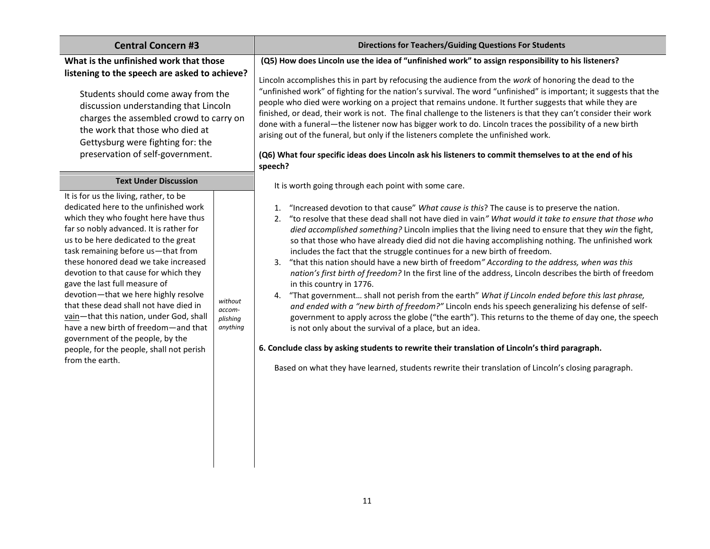| <b>Central Concern #3</b>                                                                                                                                                                                                                                                                                                                                                                                                                                                                                                                                                                                                                                                               | <b>Directions for Teachers/Guiding Questions For Students</b>                                                                                                                                                                                                                                                                                                                                                                                                                                                                                                                                                                                                                                                                                                                                                                                                                                                                                                                                                                                                                                                                                                                                                                                                                                                                                          |  |
|-----------------------------------------------------------------------------------------------------------------------------------------------------------------------------------------------------------------------------------------------------------------------------------------------------------------------------------------------------------------------------------------------------------------------------------------------------------------------------------------------------------------------------------------------------------------------------------------------------------------------------------------------------------------------------------------|--------------------------------------------------------------------------------------------------------------------------------------------------------------------------------------------------------------------------------------------------------------------------------------------------------------------------------------------------------------------------------------------------------------------------------------------------------------------------------------------------------------------------------------------------------------------------------------------------------------------------------------------------------------------------------------------------------------------------------------------------------------------------------------------------------------------------------------------------------------------------------------------------------------------------------------------------------------------------------------------------------------------------------------------------------------------------------------------------------------------------------------------------------------------------------------------------------------------------------------------------------------------------------------------------------------------------------------------------------|--|
| What is the unfinished work that those<br>listening to the speech are asked to achieve?<br>Students should come away from the<br>discussion understanding that Lincoln<br>charges the assembled crowd to carry on<br>the work that those who died at<br>Gettysburg were fighting for: the<br>preservation of self-government.                                                                                                                                                                                                                                                                                                                                                           | (Q5) How does Lincoln use the idea of "unfinished work" to assign responsibility to his listeners?<br>Lincoln accomplishes this in part by refocusing the audience from the work of honoring the dead to the<br>"unfinished work" of fighting for the nation's survival. The word "unfinished" is important; it suggests that the<br>people who died were working on a project that remains undone. It further suggests that while they are<br>finished, or dead, their work is not. The final challenge to the listeners is that they can't consider their work<br>done with a funeral—the listener now has bigger work to do. Lincoln traces the possibility of a new birth<br>arising out of the funeral, but only if the listeners complete the unfinished work.<br>(Q6) What four specific ideas does Lincoln ask his listeners to commit themselves to at the end of his<br>speech?                                                                                                                                                                                                                                                                                                                                                                                                                                                              |  |
| <b>Text Under Discussion</b>                                                                                                                                                                                                                                                                                                                                                                                                                                                                                                                                                                                                                                                            | It is worth going through each point with some care.                                                                                                                                                                                                                                                                                                                                                                                                                                                                                                                                                                                                                                                                                                                                                                                                                                                                                                                                                                                                                                                                                                                                                                                                                                                                                                   |  |
| It is for us the living, rather, to be<br>dedicated here to the unfinished work<br>which they who fought here have thus<br>far so nobly advanced. It is rather for<br>us to be here dedicated to the great<br>task remaining before us-that from<br>these honored dead we take increased<br>devotion to that cause for which they<br>gave the last full measure of<br>devotion-that we here highly resolve<br>without<br>that these dead shall not have died in<br>accom-<br>vain-that this nation, under God, shall<br>plishing<br>have a new birth of freedom-and that<br>anything<br>government of the people, by the<br>people, for the people, shall not perish<br>from the earth. | "Increased devotion to that cause" What cause is this? The cause is to preserve the nation.<br>1.<br>"to resolve that these dead shall not have died in vain" What would it take to ensure that those who<br>2.<br>died accomplished something? Lincoln implies that the living need to ensure that they win the fight,<br>so that those who have already died did not die having accomplishing nothing. The unfinished work<br>includes the fact that the struggle continues for a new birth of freedom.<br>"that this nation should have a new birth of freedom" According to the address, when was this<br>3.<br>nation's first birth of freedom? In the first line of the address, Lincoln describes the birth of freedom<br>in this country in 1776.<br>"That government shall not perish from the earth" What if Lincoln ended before this last phrase,<br>4.<br>and ended with a "new birth of freedom?" Lincoln ends his speech generalizing his defense of self-<br>government to apply across the globe ("the earth"). This returns to the theme of day one, the speech<br>is not only about the survival of a place, but an idea.<br>6. Conclude class by asking students to rewrite their translation of Lincoln's third paragraph.<br>Based on what they have learned, students rewrite their translation of Lincoln's closing paragraph. |  |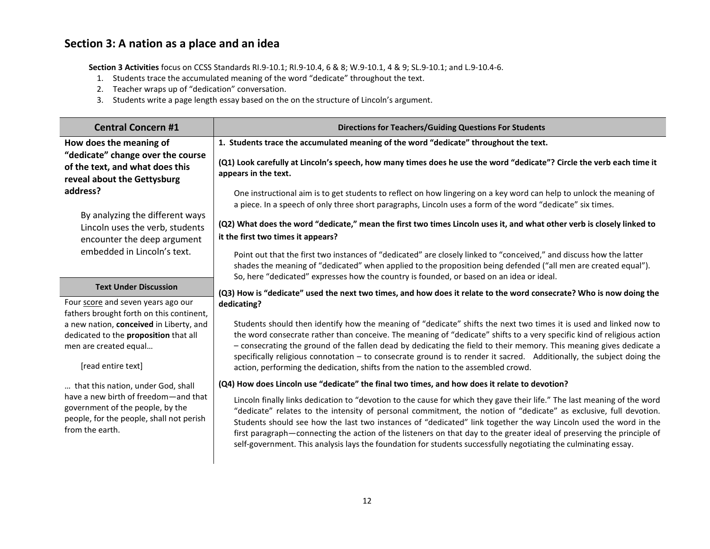## **Section 3: A nation as a place and an idea**

**Section 3 Activities** focus on CCSS Standards RI.9-10.1; RI.9-10.4, 6 & 8; W.9-10.1, 4 & 9; SL.9-10.1; and L.9-10.4-6.

- 1. Students trace the accumulated meaning of the word "dedicate" throughout the text.
- 2. Teacher wraps up of "dedication" conversation.
- 3. Students write a page length essay based on the on the structure of Lincoln's argument.

| <b>Central Concern #1</b>                                                                                                               | <b>Directions for Teachers/Guiding Questions For Students</b>                                                                                                                                                                                                                                                                                                                                                                                                                                                                                                                                                  |
|-----------------------------------------------------------------------------------------------------------------------------------------|----------------------------------------------------------------------------------------------------------------------------------------------------------------------------------------------------------------------------------------------------------------------------------------------------------------------------------------------------------------------------------------------------------------------------------------------------------------------------------------------------------------------------------------------------------------------------------------------------------------|
| How does the meaning of                                                                                                                 | 1. Students trace the accumulated meaning of the word "dedicate" throughout the text.                                                                                                                                                                                                                                                                                                                                                                                                                                                                                                                          |
| "dedicate" change over the course<br>of the text, and what does this<br>reveal about the Gettysburg                                     | (Q1) Look carefully at Lincoln's speech, how many times does he use the word "dedicate"? Circle the verb each time it<br>appears in the text.                                                                                                                                                                                                                                                                                                                                                                                                                                                                  |
| address?                                                                                                                                | One instructional aim is to get students to reflect on how lingering on a key word can help to unlock the meaning of<br>a piece. In a speech of only three short paragraphs, Lincoln uses a form of the word "dedicate" six times.                                                                                                                                                                                                                                                                                                                                                                             |
| By analyzing the different ways<br>Lincoln uses the verb, students<br>encounter the deep argument                                       | (Q2) What does the word "dedicate," mean the first two times Lincoln uses it, and what other verb is closely linked to<br>it the first two times it appears?                                                                                                                                                                                                                                                                                                                                                                                                                                                   |
| embedded in Lincoln's text.                                                                                                             | Point out that the first two instances of "dedicated" are closely linked to "conceived," and discuss how the latter<br>shades the meaning of "dedicated" when applied to the proposition being defended ("all men are created equal").<br>So, here "dedicated" expresses how the country is founded, or based on an idea or ideal.                                                                                                                                                                                                                                                                             |
| <b>Text Under Discussion</b>                                                                                                            | (Q3) How is "dedicate" used the next two times, and how does it relate to the word consecrate? Who is now doing the                                                                                                                                                                                                                                                                                                                                                                                                                                                                                            |
| Four score and seven years ago our<br>fathers brought forth on this continent,                                                          | dedicating?                                                                                                                                                                                                                                                                                                                                                                                                                                                                                                                                                                                                    |
| a new nation, conceived in Liberty, and<br>dedicated to the proposition that all<br>men are created equal                               | Students should then identify how the meaning of "dedicate" shifts the next two times it is used and linked now to<br>the word consecrate rather than conceive. The meaning of "dedicate" shifts to a very specific kind of religious action<br>- consecrating the ground of the fallen dead by dedicating the field to their memory. This meaning gives dedicate a<br>specifically religious connotation - to consecrate ground is to render it sacred. Additionally, the subject doing the                                                                                                                   |
| [read entire text]                                                                                                                      | action, performing the dedication, shifts from the nation to the assembled crowd.                                                                                                                                                                                                                                                                                                                                                                                                                                                                                                                              |
| that this nation, under God, shall                                                                                                      | (Q4) How does Lincoln use "dedicate" the final two times, and how does it relate to devotion?                                                                                                                                                                                                                                                                                                                                                                                                                                                                                                                  |
| have a new birth of freedom-and that<br>government of the people, by the<br>people, for the people, shall not perish<br>from the earth. | Lincoln finally links dedication to "devotion to the cause for which they gave their life." The last meaning of the word<br>"dedicate" relates to the intensity of personal commitment, the notion of "dedicate" as exclusive, full devotion.<br>Students should see how the last two instances of "dedicated" link together the way Lincoln used the word in the<br>first paragraph—connecting the action of the listeners on that day to the greater ideal of preserving the principle of<br>self-government. This analysis lays the foundation for students successfully negotiating the culminating essay. |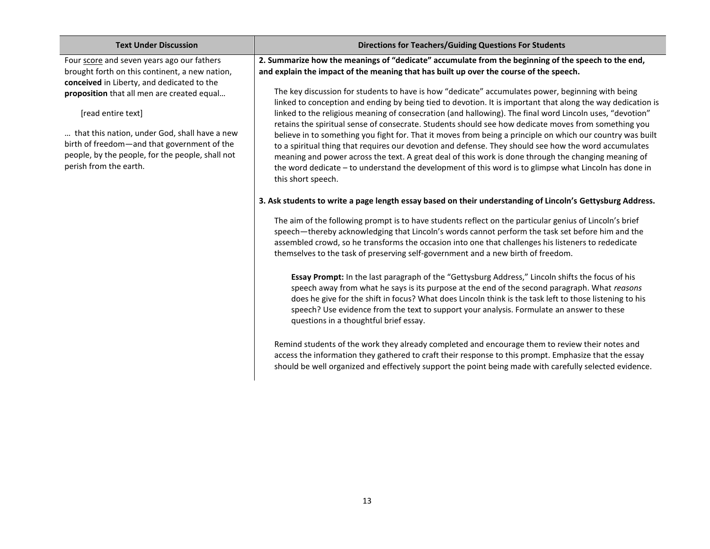| <b>Text Under Discussion</b>                                                                                                                                               | <b>Directions for Teachers/Guiding Questions For Students</b>                                                                                                                                                                                                                                                                                                                                                                                              |  |
|----------------------------------------------------------------------------------------------------------------------------------------------------------------------------|------------------------------------------------------------------------------------------------------------------------------------------------------------------------------------------------------------------------------------------------------------------------------------------------------------------------------------------------------------------------------------------------------------------------------------------------------------|--|
| Four score and seven years ago our fathers<br>brought forth on this continent, a new nation,                                                                               | 2. Summarize how the meanings of "dedicate" accumulate from the beginning of the speech to the end,<br>and explain the impact of the meaning that has built up over the course of the speech.                                                                                                                                                                                                                                                              |  |
| conceived in Liberty, and dedicated to the<br>proposition that all men are created equal                                                                                   | The key discussion for students to have is how "dedicate" accumulates power, beginning with being<br>linked to conception and ending by being tied to devotion. It is important that along the way dedication is                                                                                                                                                                                                                                           |  |
| [read entire text]                                                                                                                                                         | linked to the religious meaning of consecration (and hallowing). The final word Lincoln uses, "devotion"<br>retains the spiritual sense of consecrate. Students should see how dedicate moves from something you                                                                                                                                                                                                                                           |  |
| that this nation, under God, shall have a new<br>birth of freedom-and that government of the<br>people, by the people, for the people, shall not<br>perish from the earth. | believe in to something you fight for. That it moves from being a principle on which our country was built<br>to a spiritual thing that requires our devotion and defense. They should see how the word accumulates<br>meaning and power across the text. A great deal of this work is done through the changing meaning of<br>the word dedicate - to understand the development of this word is to glimpse what Lincoln has done in<br>this short speech. |  |
|                                                                                                                                                                            | 3. Ask students to write a page length essay based on their understanding of Lincoln's Gettysburg Address.                                                                                                                                                                                                                                                                                                                                                 |  |
|                                                                                                                                                                            | The aim of the following prompt is to have students reflect on the particular genius of Lincoln's brief<br>speech-thereby acknowledging that Lincoln's words cannot perform the task set before him and the<br>assembled crowd, so he transforms the occasion into one that challenges his listeners to rededicate<br>themselves to the task of preserving self-government and a new birth of freedom.                                                     |  |
|                                                                                                                                                                            | Essay Prompt: In the last paragraph of the "Gettysburg Address," Lincoln shifts the focus of his<br>speech away from what he says is its purpose at the end of the second paragraph. What reasons<br>does he give for the shift in focus? What does Lincoln think is the task left to those listening to his<br>speech? Use evidence from the text to support your analysis. Formulate an answer to these<br>questions in a thoughtful brief essay.        |  |
|                                                                                                                                                                            | Deseted and care of the coordinates of the discontracted and concerning the control and coordinate and control                                                                                                                                                                                                                                                                                                                                             |  |

Remind students of the work they already completed and encourage them to review their notes and access the information they gathered to craft their response to this prompt. Emphasize that the essay should be well organized and effectively support the point being made with carefully selected evidence.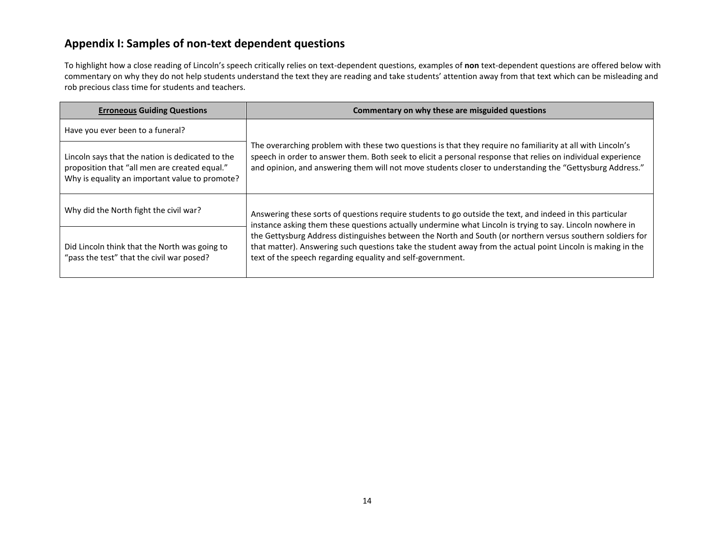## **Appendix I: Samples of non-text dependent questions**

To highlight how a close reading of Lincoln's speech critically relies on text-dependent questions, examples of **non** text-dependent questions are offered below with commentary on why they do not help students understand the text they are reading and take students' attention away from that text which can be misleading and rob precious class time for students and teachers.

| <b>Erroneous Guiding Questions</b>                                                                                                                  | Commentary on why these are misguided questions                                                                                                                                                                                                                                                                                                                                                                                                                                                                   |  |
|-----------------------------------------------------------------------------------------------------------------------------------------------------|-------------------------------------------------------------------------------------------------------------------------------------------------------------------------------------------------------------------------------------------------------------------------------------------------------------------------------------------------------------------------------------------------------------------------------------------------------------------------------------------------------------------|--|
| Have you ever been to a funeral?                                                                                                                    |                                                                                                                                                                                                                                                                                                                                                                                                                                                                                                                   |  |
| Lincoln says that the nation is dedicated to the<br>proposition that "all men are created equal."<br>Why is equality an important value to promote? | The overarching problem with these two questions is that they require no familiarity at all with Lincoln's<br>speech in order to answer them. Both seek to elicit a personal response that relies on individual experience<br>and opinion, and answering them will not move students closer to understanding the "Gettysburg Address."                                                                                                                                                                            |  |
| Why did the North fight the civil war?                                                                                                              | Answering these sorts of questions require students to go outside the text, and indeed in this particular<br>instance asking them these questions actually undermine what Lincoln is trying to say. Lincoln nowhere in<br>the Gettysburg Address distinguishes between the North and South (or northern versus southern soldiers for<br>that matter). Answering such questions take the student away from the actual point Lincoln is making in the<br>text of the speech regarding equality and self-government. |  |
| Did Lincoln think that the North was going to<br>"pass the test" that the civil war posed?                                                          |                                                                                                                                                                                                                                                                                                                                                                                                                                                                                                                   |  |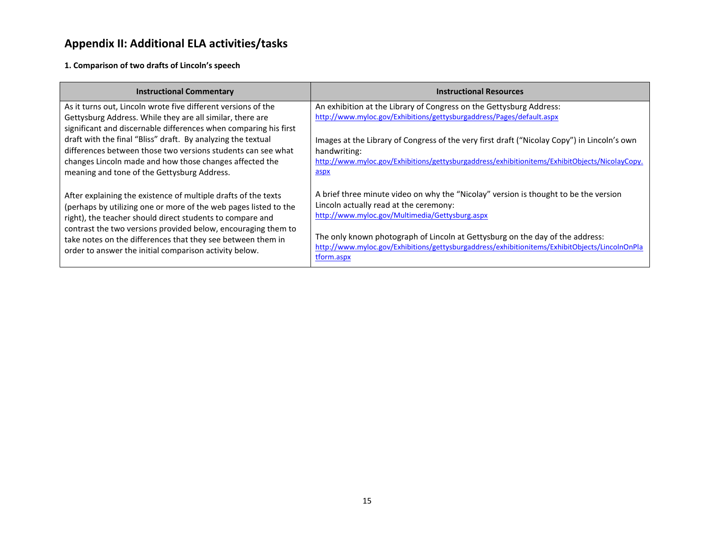## **Appendix II: Additional ELA activities/tasks**

### **1. Comparison of two drafts of Lincoln's speech**

| <b>Instructional Commentary</b>                                                                                                                                                                                                                                                                                                 | <b>Instructional Resources</b>                                                                                                                                                                                                                                     |
|---------------------------------------------------------------------------------------------------------------------------------------------------------------------------------------------------------------------------------------------------------------------------------------------------------------------------------|--------------------------------------------------------------------------------------------------------------------------------------------------------------------------------------------------------------------------------------------------------------------|
| As it turns out, Lincoln wrote five different versions of the                                                                                                                                                                                                                                                                   | An exhibition at the Library of Congress on the Gettysburg Address:                                                                                                                                                                                                |
| Gettysburg Address. While they are all similar, there are<br>significant and discernable differences when comparing his first                                                                                                                                                                                                   | http://www.myloc.gov/Exhibitions/gettysburgaddress/Pages/default.aspx                                                                                                                                                                                              |
| draft with the final "Bliss" draft. By analyzing the textual<br>differences between those two versions students can see what<br>changes Lincoln made and how those changes affected the<br>meaning and tone of the Gettysburg Address.                                                                                          | Images at the Library of Congress of the very first draft ("Nicolay Copy") in Lincoln's own<br>handwriting:<br>http://www.myloc.gov/Exhibitions/gettysburgaddress/exhibitionitems/ExhibitObjects/NicolayCopy.<br><u>aspx</u>                                       |
| After explaining the existence of multiple drafts of the texts<br>(perhaps by utilizing one or more of the web pages listed to the<br>right), the teacher should direct students to compare and<br>contrast the two versions provided below, encouraging them to<br>take notes on the differences that they see between them in | A brief three minute video on why the "Nicolay" version is thought to be the version<br>Lincoln actually read at the ceremony:<br>http://www.myloc.gov/Multimedia/Gettysburg.aspx<br>The only known photograph of Lincoln at Gettysburg on the day of the address: |
| order to answer the initial comparison activity below.                                                                                                                                                                                                                                                                          | http://www.myloc.gov/Exhibitions/gettysburgaddress/exhibitionitems/ExhibitObjects/LincolnOnPla<br>tform.aspx                                                                                                                                                       |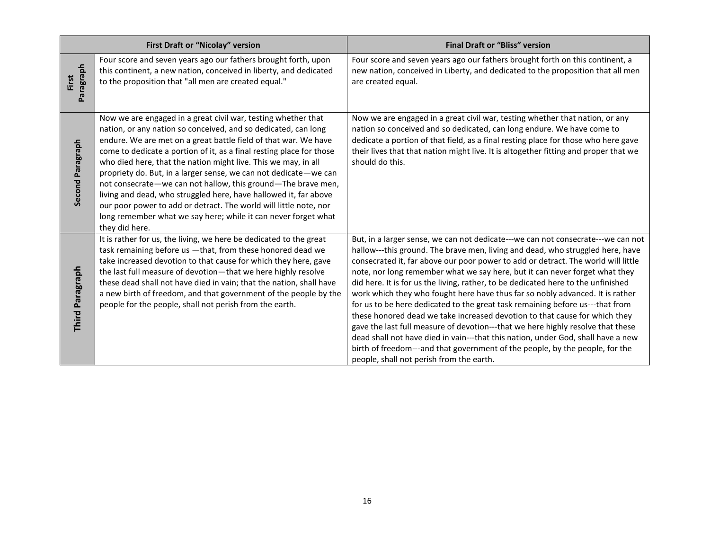| First Draft or "Nicolay" version |                                                                                                                                                                                                                                                                                                                                                                                                                                                                                                                                                                                                                                                                                                               | <b>Final Draft or "Bliss" version</b>                                                                                                                                                                                                                                                                                                                                                                                                                                                                                                                                                                                                                                                                                                                                                                                                                                                                                                                                          |  |
|----------------------------------|---------------------------------------------------------------------------------------------------------------------------------------------------------------------------------------------------------------------------------------------------------------------------------------------------------------------------------------------------------------------------------------------------------------------------------------------------------------------------------------------------------------------------------------------------------------------------------------------------------------------------------------------------------------------------------------------------------------|--------------------------------------------------------------------------------------------------------------------------------------------------------------------------------------------------------------------------------------------------------------------------------------------------------------------------------------------------------------------------------------------------------------------------------------------------------------------------------------------------------------------------------------------------------------------------------------------------------------------------------------------------------------------------------------------------------------------------------------------------------------------------------------------------------------------------------------------------------------------------------------------------------------------------------------------------------------------------------|--|
| Paragraph<br>First               | Four score and seven years ago our fathers brought forth, upon<br>this continent, a new nation, conceived in liberty, and dedicated<br>to the proposition that "all men are created equal."                                                                                                                                                                                                                                                                                                                                                                                                                                                                                                                   | Four score and seven years ago our fathers brought forth on this continent, a<br>new nation, conceived in Liberty, and dedicated to the proposition that all men<br>are created equal.                                                                                                                                                                                                                                                                                                                                                                                                                                                                                                                                                                                                                                                                                                                                                                                         |  |
| Second Paragraph                 | Now we are engaged in a great civil war, testing whether that<br>nation, or any nation so conceived, and so dedicated, can long<br>endure. We are met on a great battle field of that war. We have<br>come to dedicate a portion of it, as a final resting place for those<br>who died here, that the nation might live. This we may, in all<br>propriety do. But, in a larger sense, we can not dedicate-we can<br>not consecrate-we can not hallow, this ground-The brave men,<br>living and dead, who struggled here, have hallowed it, far above<br>our poor power to add or detract. The world will little note, nor<br>long remember what we say here; while it can never forget what<br>they did here. | Now we are engaged in a great civil war, testing whether that nation, or any<br>nation so conceived and so dedicated, can long endure. We have come to<br>dedicate a portion of that field, as a final resting place for those who here gave<br>their lives that that nation might live. It is altogether fitting and proper that we<br>should do this.                                                                                                                                                                                                                                                                                                                                                                                                                                                                                                                                                                                                                        |  |
| Third Paragraph                  | It is rather for us, the living, we here be dedicated to the great<br>task remaining before us - that, from these honored dead we<br>take increased devotion to that cause for which they here, gave<br>the last full measure of devotion-that we here highly resolve<br>these dead shall not have died in vain; that the nation, shall have<br>a new birth of freedom, and that government of the people by the<br>people for the people, shall not perish from the earth.                                                                                                                                                                                                                                   | But, in a larger sense, we can not dedicate---we can not consecrate---we can not<br>hallow---this ground. The brave men, living and dead, who struggled here, have<br>consecrated it, far above our poor power to add or detract. The world will little<br>note, nor long remember what we say here, but it can never forget what they<br>did here. It is for us the living, rather, to be dedicated here to the unfinished<br>work which they who fought here have thus far so nobly advanced. It is rather<br>for us to be here dedicated to the great task remaining before us---that from<br>these honored dead we take increased devotion to that cause for which they<br>gave the last full measure of devotion---that we here highly resolve that these<br>dead shall not have died in vain---that this nation, under God, shall have a new<br>birth of freedom---and that government of the people, by the people, for the<br>people, shall not perish from the earth. |  |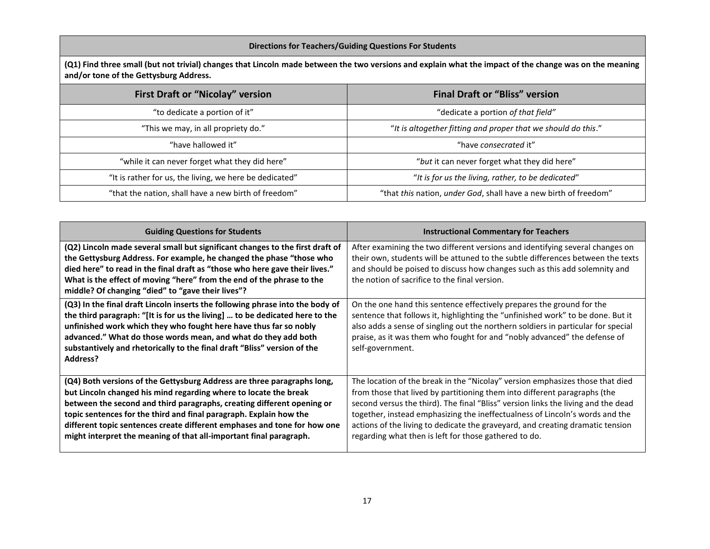| <b>Directions for Teachers/Guiding Questions For Students</b>                                                                                                                                     |                                                                  |  |
|---------------------------------------------------------------------------------------------------------------------------------------------------------------------------------------------------|------------------------------------------------------------------|--|
| (Q1) Find three small (but not trivial) changes that Lincoln made between the two versions and explain what the impact of the change was on the meaning<br>and/or tone of the Gettysburg Address. |                                                                  |  |
| <b>First Draft or "Nicolay" version</b>                                                                                                                                                           | <b>Final Draft or "Bliss" version</b>                            |  |
| "to dedicate a portion of it"                                                                                                                                                                     | "dedicate a portion of that field"                               |  |
| "This we may, in all propriety do."                                                                                                                                                               | "It is altogether fitting and proper that we should do this."    |  |
| "have hallowed it"                                                                                                                                                                                | "have consecrated it"                                            |  |
| "while it can never forget what they did here"                                                                                                                                                    | "but it can never forget what they did here"                     |  |
| "It is rather for us, the living, we here be dedicated"                                                                                                                                           | "It is for us the living, rather, to be dedicated"               |  |
| "that the nation, shall have a new birth of freedom"                                                                                                                                              | "that this nation, under God, shall have a new birth of freedom" |  |

| <b>Guiding Questions for Students</b>                                                                                                                                                                                                                                                                                                                                                                                                         | <b>Instructional Commentary for Teachers</b>                                                                                                                                                                                                                                                                                                                                                                                                                               |
|-----------------------------------------------------------------------------------------------------------------------------------------------------------------------------------------------------------------------------------------------------------------------------------------------------------------------------------------------------------------------------------------------------------------------------------------------|----------------------------------------------------------------------------------------------------------------------------------------------------------------------------------------------------------------------------------------------------------------------------------------------------------------------------------------------------------------------------------------------------------------------------------------------------------------------------|
| (Q2) Lincoln made several small but significant changes to the first draft of<br>the Gettysburg Address. For example, he changed the phase "those who<br>died here" to read in the final draft as "those who here gave their lives."<br>What is the effect of moving "here" from the end of the phrase to the<br>middle? Of changing "died" to "gave their lives"?                                                                            | After examining the two different versions and identifying several changes on<br>their own, students will be attuned to the subtle differences between the texts<br>and should be poised to discuss how changes such as this add solemnity and<br>the notion of sacrifice to the final version.                                                                                                                                                                            |
| (Q3) In the final draft Lincoln inserts the following phrase into the body of<br>the third paragraph: "[It is for us the living]  to be dedicated here to the<br>unfinished work which they who fought here have thus far so nobly<br>advanced." What do those words mean, and what do they add both<br>substantively and rhetorically to the final draft "Bliss" version of the<br>Address?                                                  | On the one hand this sentence effectively prepares the ground for the<br>sentence that follows it, highlighting the "unfinished work" to be done. But it<br>also adds a sense of singling out the northern soldiers in particular for special<br>praise, as it was them who fought for and "nobly advanced" the defense of<br>self-government.                                                                                                                             |
| (Q4) Both versions of the Gettysburg Address are three paragraphs long,<br>but Lincoln changed his mind regarding where to locate the break<br>between the second and third paragraphs, creating different opening or<br>topic sentences for the third and final paragraph. Explain how the<br>different topic sentences create different emphases and tone for how one<br>might interpret the meaning of that all-important final paragraph. | The location of the break in the "Nicolay" version emphasizes those that died<br>from those that lived by partitioning them into different paragraphs (the<br>second versus the third). The final "Bliss" version links the living and the dead<br>together, instead emphasizing the ineffectualness of Lincoln's words and the<br>actions of the living to dedicate the graveyard, and creating dramatic tension<br>regarding what then is left for those gathered to do. |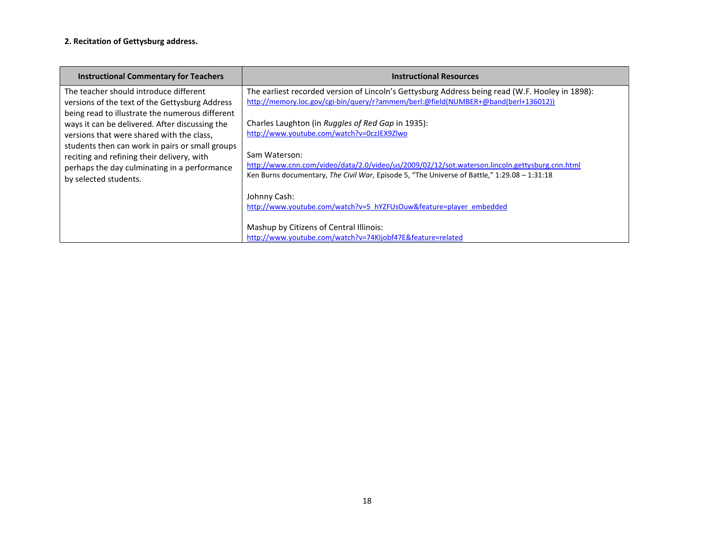#### **2. Recitation of Gettysburg address.**

| <b>Instructional Commentary for Teachers</b>                                                                                                                                                 | <b>Instructional Resources</b>                                                                                                                                                                 |
|----------------------------------------------------------------------------------------------------------------------------------------------------------------------------------------------|------------------------------------------------------------------------------------------------------------------------------------------------------------------------------------------------|
| The teacher should introduce different<br>versions of the text of the Gettysburg Address<br>being read to illustrate the numerous different                                                  | The earliest recorded version of Lincoln's Gettysburg Address being read (W.F. Hooley in 1898):<br>http://memory.loc.gov/cgi-bin/query/r?ammem/berl:@field(NUMBER+@band(berl+136012))          |
| ways it can be delivered. After discussing the<br>versions that were shared with the class,<br>students then can work in pairs or small groups<br>reciting and refining their delivery, with | Charles Laughton (in Ruggles of Red Gap in 1935):<br>http://www.youtube.com/watch?v=0czJEX9Zlwo<br>Sam Waterson:                                                                               |
| perhaps the day culminating in a performance<br>by selected students.                                                                                                                        | http://www.cnn.com/video/data/2.0/video/us/2009/02/12/sot.waterson.lincoln.gettysburg.cnn.html<br>Ken Burns documentary, The Civil War, Episode 5, "The Universe of Battle," 1:29.08 - 1:31:18 |
|                                                                                                                                                                                              | Johnny Cash:<br>http://www.youtube.com/watch?v=5 hYZFUsOuw&feature=player_embedded                                                                                                             |
|                                                                                                                                                                                              | Mashup by Citizens of Central Illinois:<br>http://www.youtube.com/watch?v=74KIjobf47E&feature=related                                                                                          |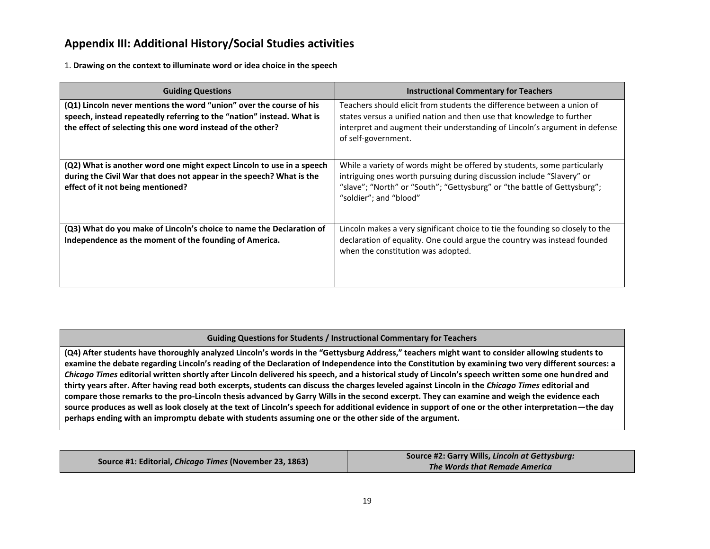## **Appendix III: Additional History/Social Studies activities**

1. **Drawing on the context to illuminate word or idea choice in the speech**

| <b>Guiding Questions</b>                                                                                                                                                                                    | <b>Instructional Commentary for Teachers</b>                                                                                                                                                                                                            |
|-------------------------------------------------------------------------------------------------------------------------------------------------------------------------------------------------------------|---------------------------------------------------------------------------------------------------------------------------------------------------------------------------------------------------------------------------------------------------------|
| (Q1) Lincoln never mentions the word "union" over the course of his<br>speech, instead repeatedly referring to the "nation" instead. What is<br>the effect of selecting this one word instead of the other? | Teachers should elicit from students the difference between a union of<br>states versus a unified nation and then use that knowledge to further<br>interpret and augment their understanding of Lincoln's argument in defense<br>of self-government.    |
| (Q2) What is another word one might expect Lincoln to use in a speech<br>during the Civil War that does not appear in the speech? What is the<br>effect of it not being mentioned?                          | While a variety of words might be offered by students, some particularly<br>intriguing ones worth pursuing during discussion include "Slavery" or<br>"slave"; "North" or "South"; "Gettysburg" or "the battle of Gettysburg";<br>"soldier"; and "blood" |
| (Q3) What do you make of Lincoln's choice to name the Declaration of<br>Independence as the moment of the founding of America.                                                                              | Lincoln makes a very significant choice to tie the founding so closely to the<br>declaration of equality. One could argue the country was instead founded<br>when the constitution was adopted.                                                         |

#### **Guiding Questions for Students / Instructional Commentary for Teachers**

**(Q4) After students have thoroughly analyzed Lincoln's words in the "Gettysburg Address," teachers might want to consider allowing students to examine the debate regarding Lincoln's reading of the Declaration of Independence into the Constitution by examining two very different sources: a**  *Chicago Times* **editorial written shortly after Lincoln delivered his speech, and a historical study of Lincoln's speech written some one hundred and thirty years after. After having read both excerpts, students can discuss the charges leveled against Lincoln in the** *Chicago Times* **editorial and compare those remarks to the pro-Lincoln thesis advanced by Garry Wills in the second excerpt. They can examine and weigh the evidence each source produces as well as look closely at the text of Lincoln's speech for additional evidence in support of one or the other interpretation—the day perhaps ending with an impromptu debate with students assuming one or the other side of the argument.**

|  | Source #1: Editorial, Chicago Times (November 23, 1863) | Source #2: Garry Wills, Lincoln at Gettysburg:<br>The Words that Remade America |
|--|---------------------------------------------------------|---------------------------------------------------------------------------------|
|--|---------------------------------------------------------|---------------------------------------------------------------------------------|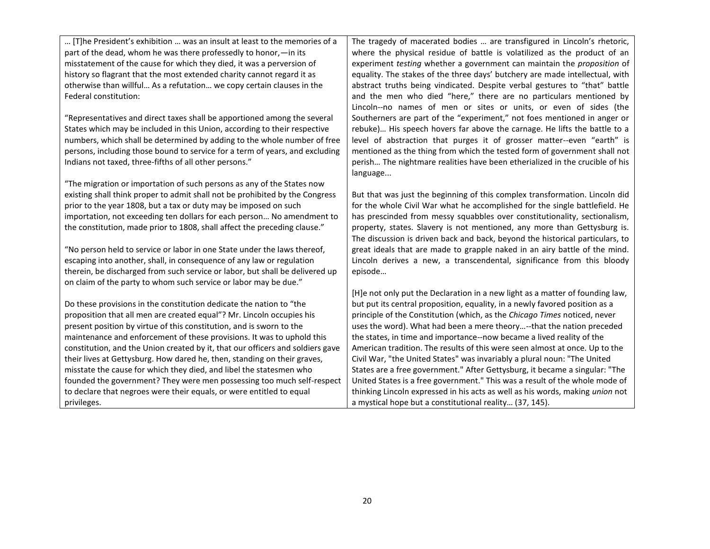| [T]he President's exhibition  was an insult at least to the memories of a<br>part of the dead, whom he was there professedly to honor, $-\text{in}$ its<br>misstatement of the cause for which they died, it was a perversion of<br>history so flagrant that the most extended charity cannot regard it as<br>otherwise than willful As a refutation we copy certain clauses in the<br>Federal constitution:                                                                                                                                                                                                                                                                                         | The tragedy of macerated bodies  are transfigured in Lincoln's rhetoric,<br>where the physical residue of battle is volatilized as the product of an<br>experiment testing whether a government can maintain the proposition of<br>equality. The stakes of the three days' butchery are made intellectual, with<br>abstract truths being vindicated. Despite verbal gestures to "that" battle<br>and the men who died "here," there are no particulars mentioned by                                                                                                                                                                                                                                                                                                                                                                                              |
|------------------------------------------------------------------------------------------------------------------------------------------------------------------------------------------------------------------------------------------------------------------------------------------------------------------------------------------------------------------------------------------------------------------------------------------------------------------------------------------------------------------------------------------------------------------------------------------------------------------------------------------------------------------------------------------------------|------------------------------------------------------------------------------------------------------------------------------------------------------------------------------------------------------------------------------------------------------------------------------------------------------------------------------------------------------------------------------------------------------------------------------------------------------------------------------------------------------------------------------------------------------------------------------------------------------------------------------------------------------------------------------------------------------------------------------------------------------------------------------------------------------------------------------------------------------------------|
| "Representatives and direct taxes shall be apportioned among the several<br>States which may be included in this Union, according to their respective<br>numbers, which shall be determined by adding to the whole number of free<br>persons, including those bound to service for a term of years, and excluding<br>Indians not taxed, three-fifths of all other persons."                                                                                                                                                                                                                                                                                                                          | Lincoln--no names of men or sites or units, or even of sides (the<br>Southerners are part of the "experiment," not foes mentioned in anger or<br>rebuke) His speech hovers far above the carnage. He lifts the battle to a<br>level of abstraction that purges it of grosser matter--even "earth" is<br>mentioned as the thing from which the tested form of government shall not<br>perish The nightmare realities have been etherialized in the crucible of his<br>language                                                                                                                                                                                                                                                                                                                                                                                    |
| "The migration or importation of such persons as any of the States now<br>existing shall think proper to admit shall not be prohibited by the Congress<br>prior to the year 1808, but a tax or duty may be imposed on such<br>importation, not exceeding ten dollars for each person No amendment to<br>the constitution, made prior to 1808, shall affect the preceding clause."<br>"No person held to service or labor in one State under the laws thereof,<br>escaping into another, shall, in consequence of any law or regulation<br>therein, be discharged from such service or labor, but shall be delivered up<br>on claim of the party to whom such service or labor may be due."           | But that was just the beginning of this complex transformation. Lincoln did<br>for the whole Civil War what he accomplished for the single battlefield. He<br>has prescinded from messy squabbles over constitutionality, sectionalism,<br>property, states. Slavery is not mentioned, any more than Gettysburg is.<br>The discussion is driven back and back, beyond the historical particulars, to<br>great ideals that are made to grapple naked in an airy battle of the mind.<br>Lincoln derives a new, a transcendental, significance from this bloody<br>episode                                                                                                                                                                                                                                                                                          |
| Do these provisions in the constitution dedicate the nation to "the<br>proposition that all men are created equal"? Mr. Lincoln occupies his<br>present position by virtue of this constitution, and is sworn to the<br>maintenance and enforcement of these provisions. It was to uphold this<br>constitution, and the Union created by it, that our officers and soldiers gave<br>their lives at Gettysburg. How dared he, then, standing on their graves,<br>misstate the cause for which they died, and libel the statesmen who<br>founded the government? They were men possessing too much self-respect<br>to declare that negroes were their equals, or were entitled to equal<br>privileges. | [H]e not only put the Declaration in a new light as a matter of founding law,<br>but put its central proposition, equality, in a newly favored position as a<br>principle of the Constitution (which, as the Chicago Times noticed, never<br>uses the word). What had been a mere theory--that the nation preceded<br>the states, in time and importance--now became a lived reality of the<br>American tradition. The results of this were seen almost at once. Up to the<br>Civil War, "the United States" was invariably a plural noun: "The United<br>States are a free government." After Gettysburg, it became a singular: "The<br>United States is a free government." This was a result of the whole mode of<br>thinking Lincoln expressed in his acts as well as his words, making union not<br>a mystical hope but a constitutional reality (37, 145). |